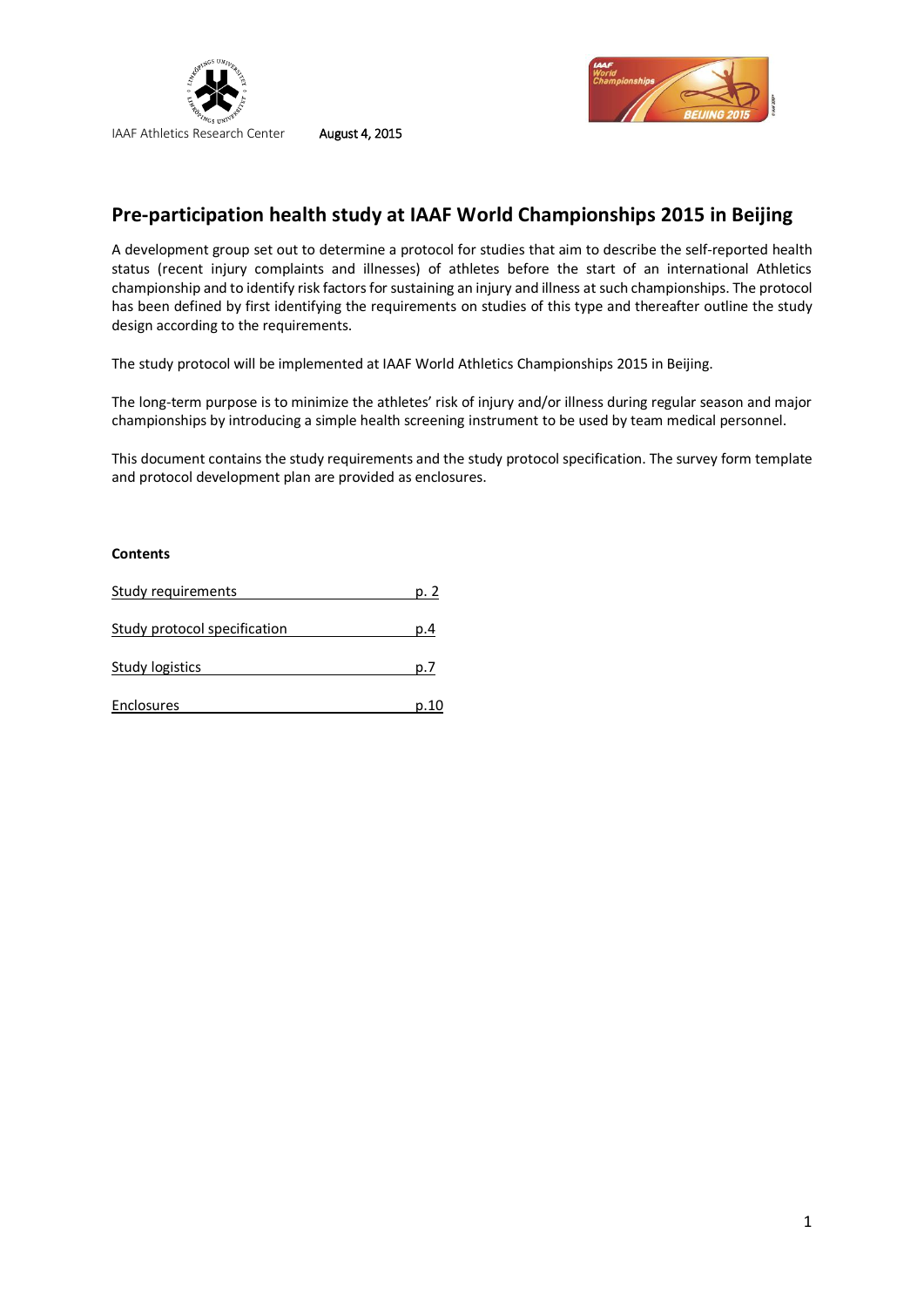



# **Pre-participation health study at IAAF World Championships 2015 in Beijing**

A development group set out to determine a protocol for studies that aim to describe the self-reported health status (recent injury complaints and illnesses) of athletes before the start of an international Athletics championship and to identify risk factors for sustaining an injury and illness at such championships. The protocol has been defined by first identifying the requirements on studies of this type and thereafter outline the study design according to the requirements.

The study protocol will be implemented at IAAF World Athletics Championships 2015 in Beijing.

The long-term purpose is to minimize the athletes' risk of injury and/or illness during regular season and major championships by introducing a simple health screening instrument to be used by team medical personnel.

This document contains the study requirements and the study protocol specification. The survey form template and protocol development plan are provided as enclosures.

## **Contents**

| Study requirements           | p.   |
|------------------------------|------|
| Study protocol specification | p.4  |
| Study logistics              | D.,  |
| Enclosures                   | p.10 |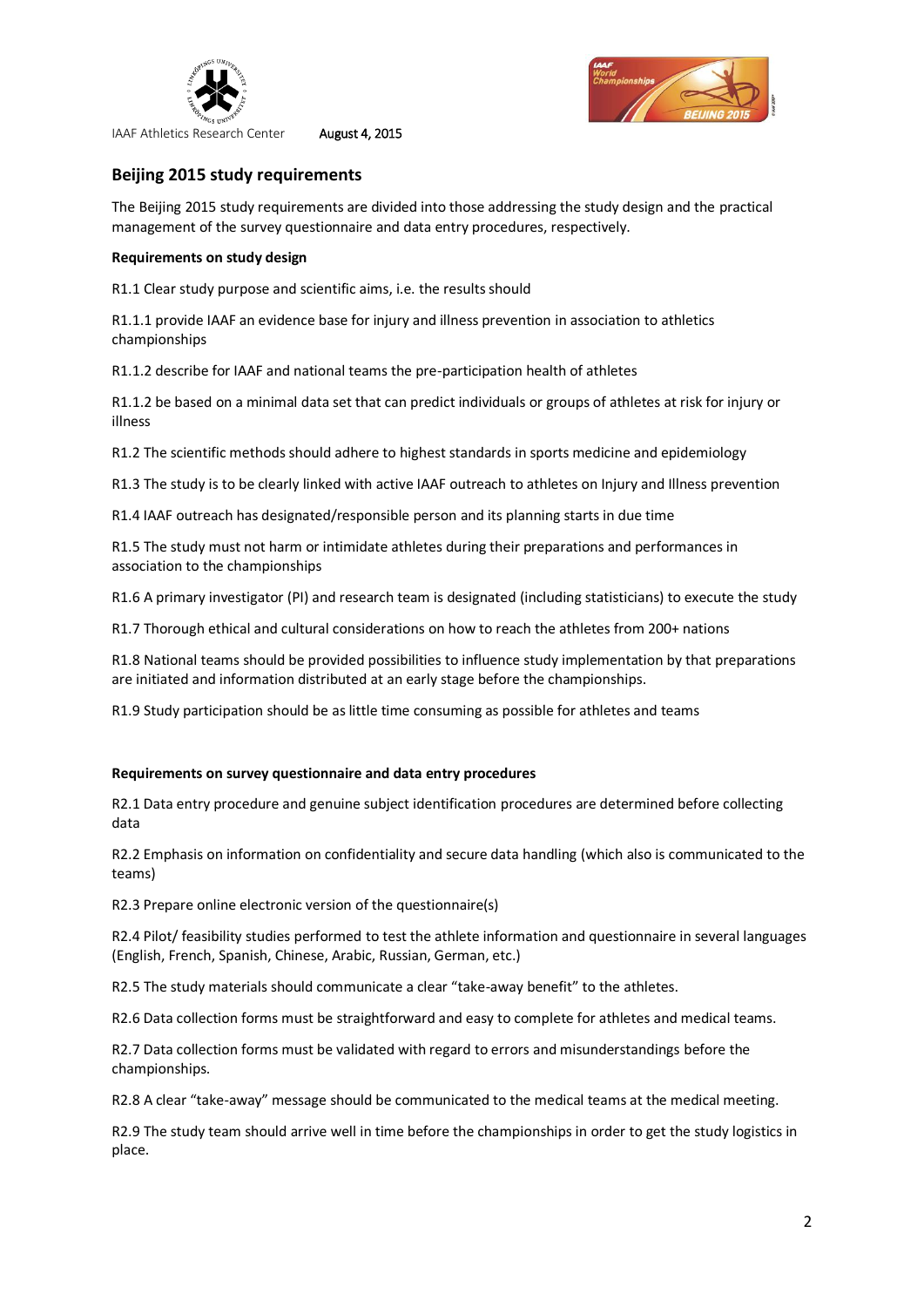



## **Beijing 2015 study requirements**

The Beijing 2015 study requirements are divided into those addressing the study design and the practical management of the survey questionnaire and data entry procedures, respectively.

## **Requirements on study design**

R1.1 Clear study purpose and scientific aims, i.e. the results should

R1.1.1 provide IAAF an evidence base for injury and illness prevention in association to athletics championships

R1.1.2 describe for IAAF and national teams the pre-participation health of athletes

R1.1.2 be based on a minimal data set that can predict individuals or groups of athletes at risk for injury or illness

R1.2 The scientific methods should adhere to highest standards in sports medicine and epidemiology

R1.3 The study is to be clearly linked with active IAAF outreach to athletes on Injury and Illness prevention

R1.4 IAAF outreach has designated/responsible person and its planning starts in due time

R1.5 The study must not harm or intimidate athletes during their preparations and performances in association to the championships

R1.6 A primary investigator (PI) and research team is designated (including statisticians) to execute the study

R1.7 Thorough ethical and cultural considerations on how to reach the athletes from 200+ nations

R1.8 National teams should be provided possibilities to influence study implementation by that preparations are initiated and information distributed at an early stage before the championships.

R1.9 Study participation should be as little time consuming as possible for athletes and teams

## **Requirements on survey questionnaire and data entry procedures**

R2.1 Data entry procedure and genuine subject identification procedures are determined before collecting data

R2.2 Emphasis on information on confidentiality and secure data handling (which also is communicated to the teams)

R2.3 Prepare online electronic version of the questionnaire(s)

R2.4 Pilot/ feasibility studies performed to test the athlete information and questionnaire in several languages (English, French, Spanish, Chinese, Arabic, Russian, German, etc.)

R2.5 The study materials should communicate a clear "take-away benefit" to the athletes.

R2.6 Data collection forms must be straightforward and easy to complete for athletes and medical teams.

R2.7 Data collection forms must be validated with regard to errors and misunderstandings before the championships.

R2.8 A clear "take-away" message should be communicated to the medical teams at the medical meeting.

R2.9 The study team should arrive well in time before the championships in order to get the study logistics in place.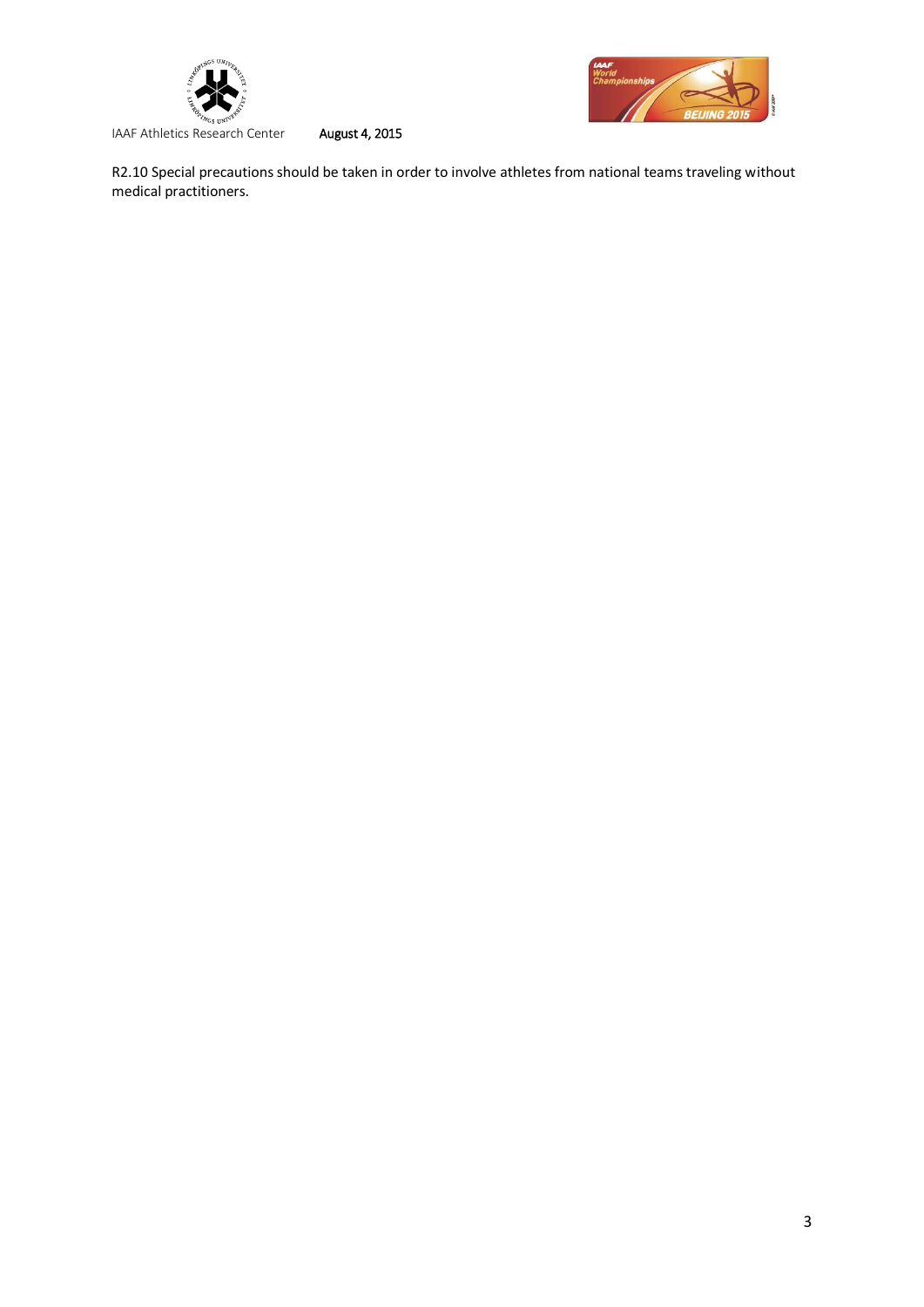



R2.10 Special precautions should be taken in order to involve athletes from national teams traveling without medical practitioners.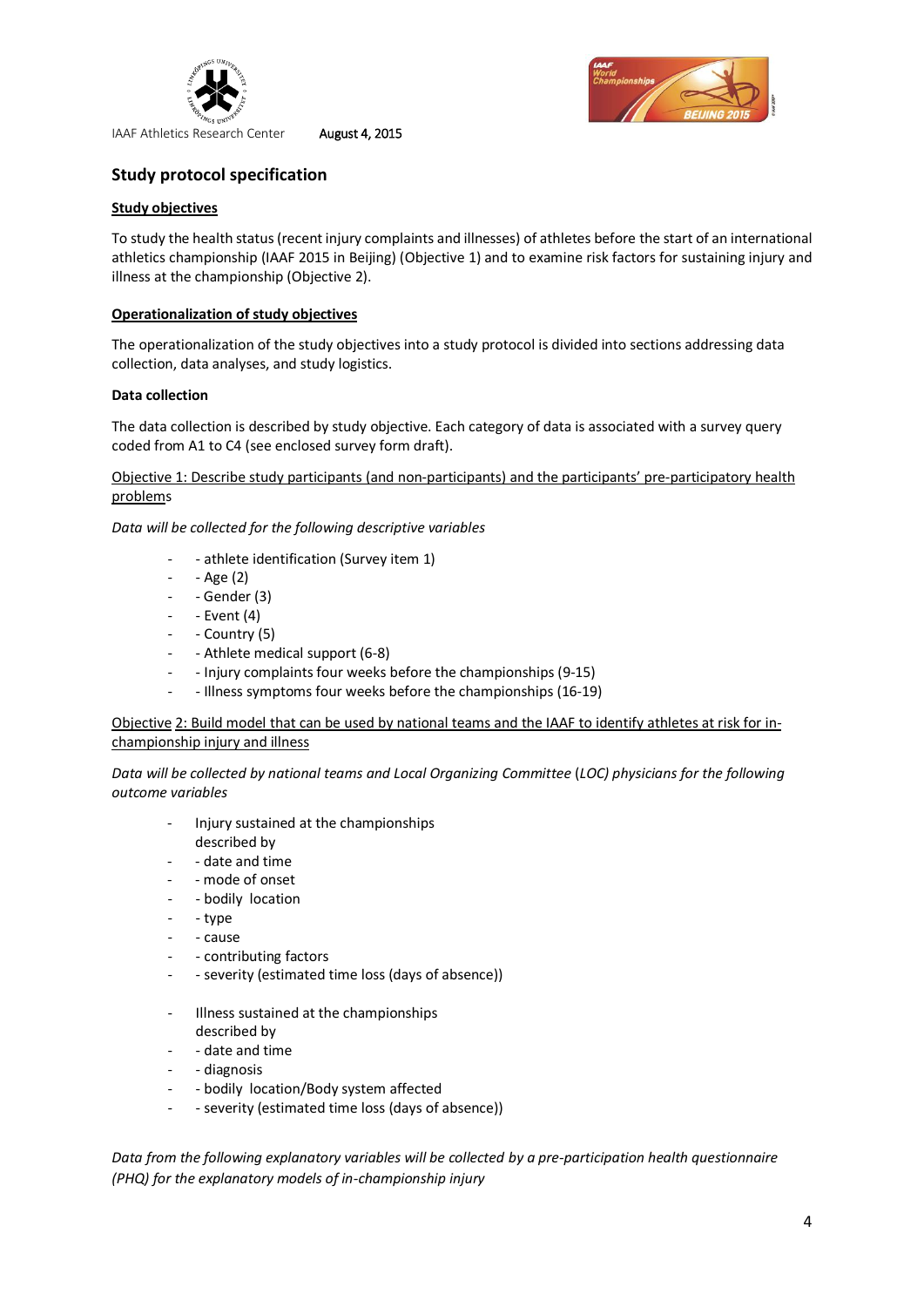



## **Study protocol specification**

## **Study objectives**

To study the health status (recent injury complaints and illnesses) of athletes before the start of an international athletics championship (IAAF 2015 in Beijing) (Objective 1) and to examine risk factors for sustaining injury and illness at the championship (Objective 2).

## **Operationalization of study objectives**

The operationalization of the study objectives into a study protocol is divided into sections addressing data collection, data analyses, and study logistics.

## **Data collection**

The data collection is described by study objective. Each category of data is associated with a survey query coded from A1 to C4 (see enclosed survey form draft).

Objective 1: Describe study participants (and non-participants) and the participants' pre-participatory health problems

*Data will be collected for the following descriptive variables*

- athlete identification (Survey item 1)
- - Age (2)
- - Gender (3)
- - Event (4)
- Country (5)
- Athlete medical support (6-8)
- - Injury complaints four weeks before the championships (9-15)
- Illness symptoms four weeks before the championships (16-19)

Objective 2: Build model that can be used by national teams and the IAAF to identify athletes at risk for inchampionship injury and illness

*Data will be collected by national teams and Local Organizing Committee* (*LOC) physicians for the following outcome variables*

- Injury sustained at the championships described by
- - date and time
- mode of onset
- bodily location
- - type
- - cause
- contributing factors
- severity (estimated time loss (days of absence))
- Illness sustained at the championships described by
- - date and time
- diagnosis
- bodily location/Body system affected
- severity (estimated time loss (days of absence))

*Data from the following explanatory variables will be collected by a pre-participation health questionnaire (PHQ) for the explanatory models of in-championship injury*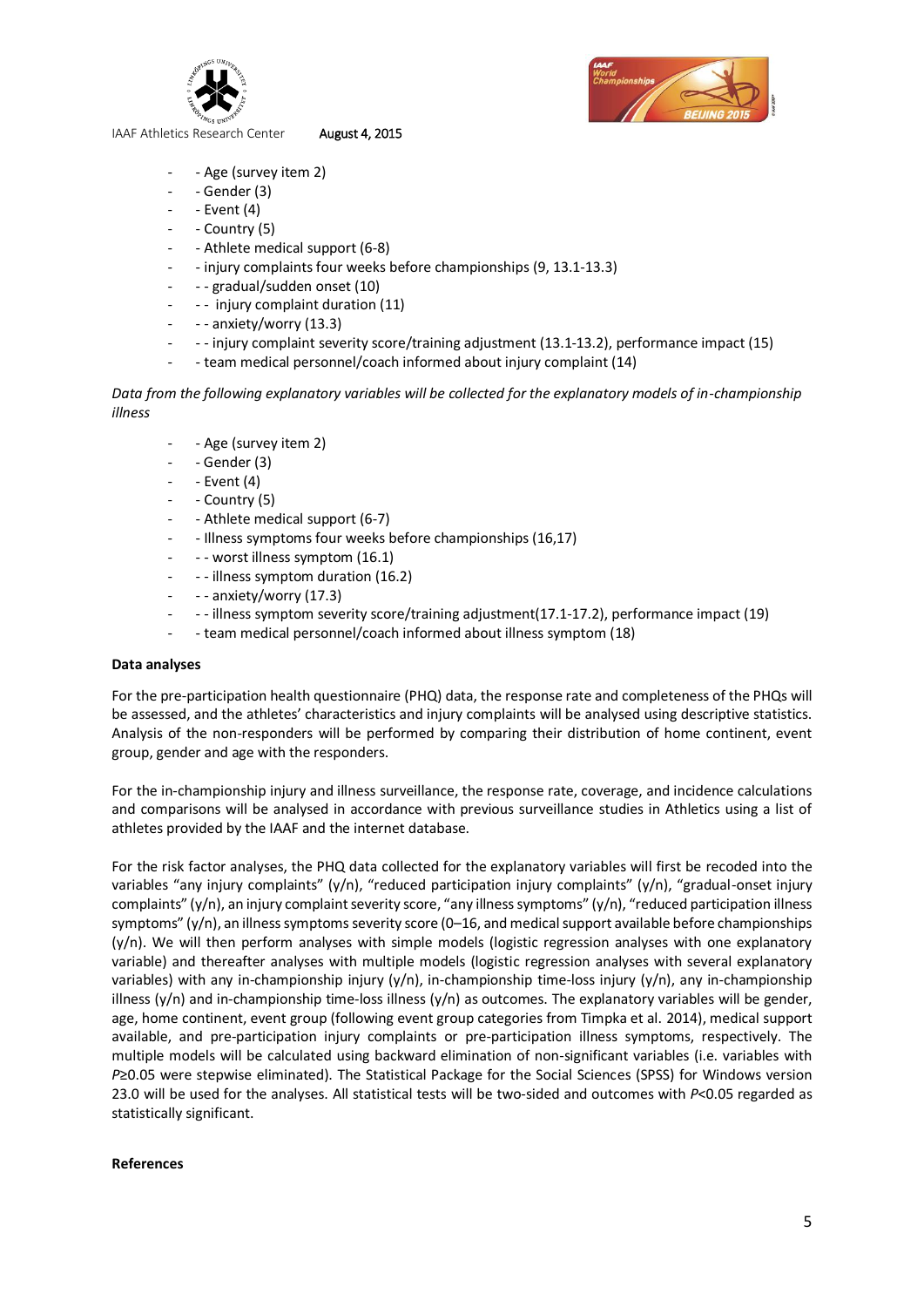

- Age (survey item 2)
- $-$  Gender (3)
- $-$  Event  $(4)$
- Country (5)
- - Athlete medical support (6-8)
- - injury complaints four weeks before championships (9, 13.1-13.3)
- - gradual/sudden onset (10)
- - injury complaint duration (11)
- - anxiety/worry (13.3)
- - injury complaint severity score/training adjustment (13.1-13.2), performance impact (15)
- team medical personnel/coach informed about injury complaint (14)

*Data from the following explanatory variables will be collected for the explanatory models of in-championship illness*

- Age (survey item 2)
- Gender (3)
- $-$  Event (4)
- Country (5)
- Athlete medical support (6-7)
- Illness symptoms four weeks before championships (16,17)
- - worst illness symptom (16.1)
- - illness symptom duration (16.2)
- - anxiety/worry (17.3)
- - illness symptom severity score/training adjustment(17.1-17.2), performance impact (19)
- team medical personnel/coach informed about illness symptom (18)

## **Data analyses**

For the pre-participation health questionnaire (PHQ) data, the response rate and completeness of the PHQs will be assessed, and the athletes' characteristics and injury complaints will be analysed using descriptive statistics. Analysis of the non-responders will be performed by comparing their distribution of home continent, event group, gender and age with the responders.

For the in-championship injury and illness surveillance, the response rate, coverage, and incidence calculations and comparisons will be analysed in accordance with previous surveillance studies in Athletics using a list of athletes provided by the IAAF and the internet database.

For the risk factor analyses, the PHQ data collected for the explanatory variables will first be recoded into the variables "any injury complaints" (y/n), "reduced participation injury complaints" (y/n), "gradual-onset injury complaints" (y/n), an injury complaint severity score, "any illness symptoms" (y/n), "reduced participation illness symptoms" (y/n), an illness symptoms severity score (0-16, and medical support available before championships  $(y/n)$ . We will then perform analyses with simple models (logistic regression analyses with one explanatory variable) and thereafter analyses with multiple models (logistic regression analyses with several explanatory variables) with any in-championship injury (y/n), in-championship time-loss injury (y/n), any in-championship illness ( $y/n$ ) and in-championship time-loss illness ( $y/n$ ) as outcomes. The explanatory variables will be gender, age, home continent, event group (following event group categories from Timpka et al. 2014), medical support available, and pre-participation injury complaints or pre-participation illness symptoms, respectively. The multiple models will be calculated using backward elimination of non-significant variables (i.e. variables with *P*≥0.05 were stepwise eliminated). The Statistical Package for the Social Sciences (SPSS) for Windows version 23.0 will be used for the analyses. All statistical tests will be two-sided and outcomes with *P*<0.05 regarded as statistically significant.

## **References**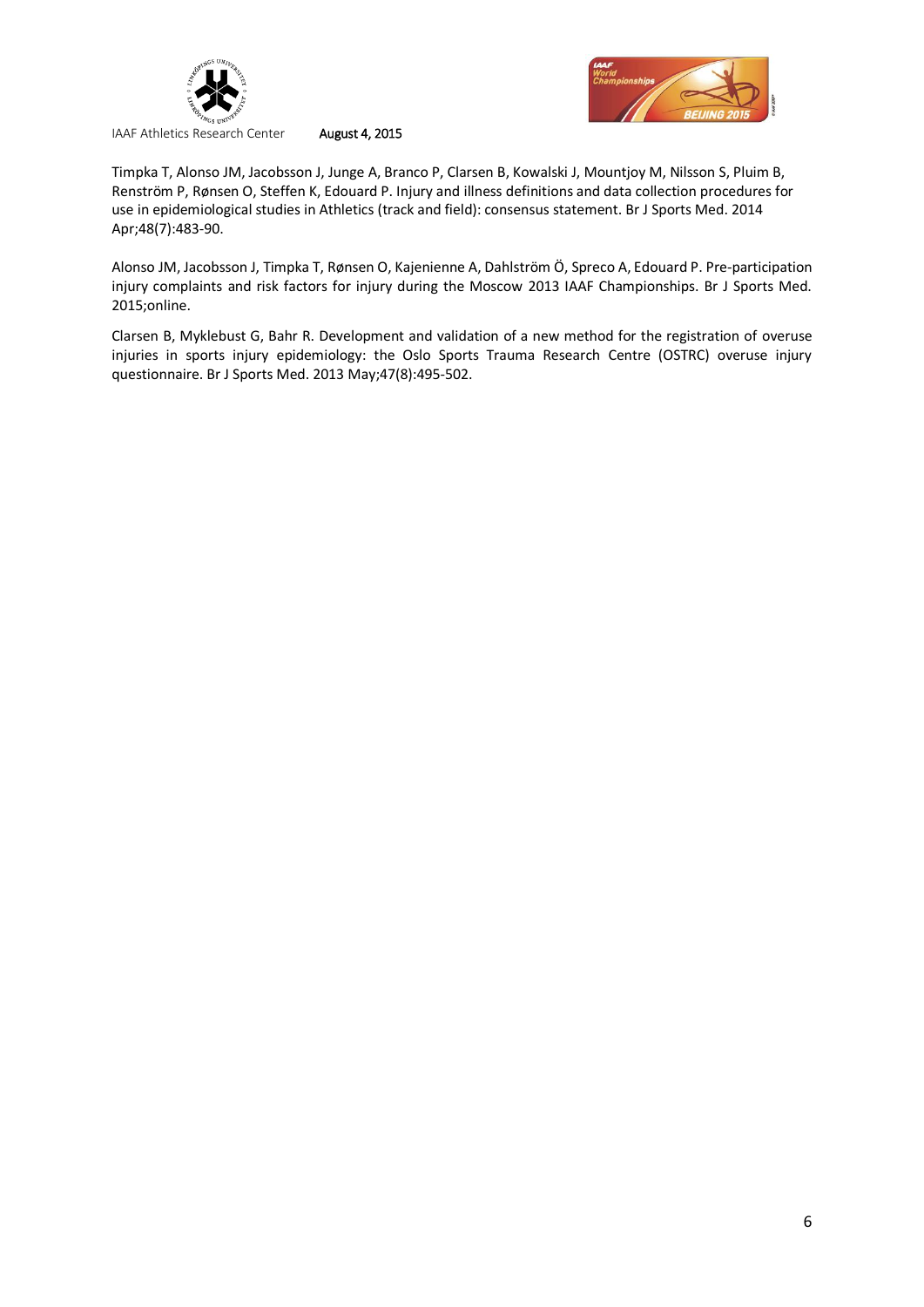



Timpka T, Alonso JM, Jacobsson J, Junge A, Branco P, Clarsen B, Kowalski J, Mountjoy M, Nilsson S, Pluim B, Renström P, Rønsen O, Steffen K, Edouard P. Injury and illness definitions and data collection procedures for use in epidemiological studies in Athletics (track and field): consensus statement. Br J Sports Med. 2014 Apr;48(7):483-90.

Alonso JM, Jacobsson J, Timpka T, Rønsen O, Kajenienne A, Dahlström Ö, Spreco A, Edouard P. Pre-participation injury complaints and risk factors for injury during the Moscow 2013 IAAF Championships. Br J Sports Med. 2015;online.

Clarsen B, Myklebust G, Bahr R. Development and validation of a new method for the registration of overuse injuries in sports injury epidemiology: the Oslo Sports Trauma Research Centre (OSTRC) overuse injury questionnaire. Br J Sports Med. 2013 May;47(8):495-502.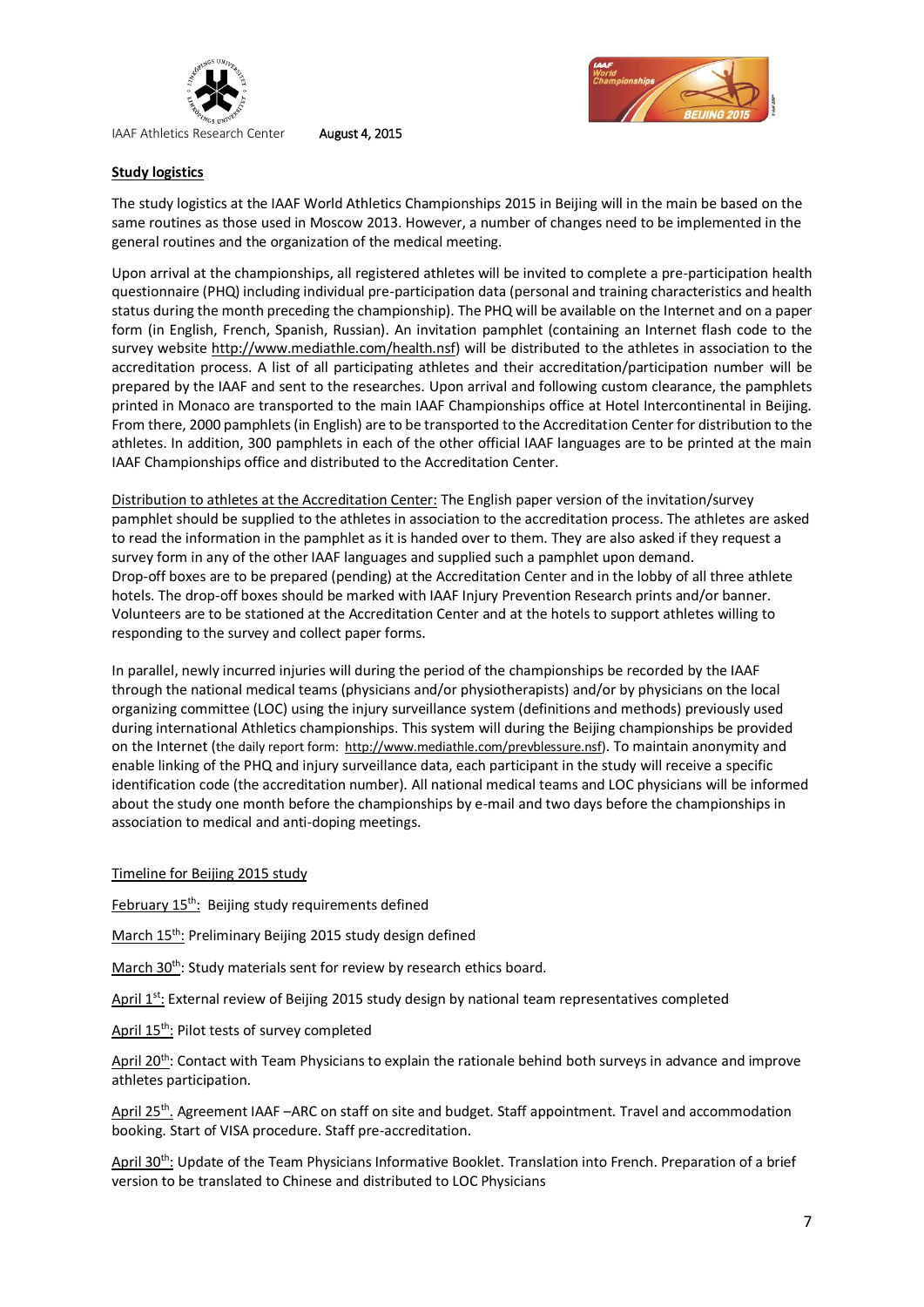



## **Study logistics**

The study logistics at the IAAF World Athletics Championships 2015 in Beijing will in the main be based on the same routines as those used in Moscow 2013. However, a number of changes need to be implemented in the general routines and the organization of the medical meeting.

Upon arrival at the championships, all registered athletes will be invited to complete a pre-participation health questionnaire (PHQ) including individual pre-participation data (personal and training characteristics and health status during the month preceding the championship). The PHQ will be available on the Internet and on a paper form (in English, French, Spanish, Russian). An invitation pamphlet (containing an Internet flash code to the survey website [http://www.mediathle.com/health.nsf\)](https://mail.liu.se/owa/redir.aspx?SURL=g9D4pIgp9W4gk2g3RWmOX1gWqWeYo1fsuvGSkE-hZ4HEpipXrJzSCGgAdAB0AHAAOgAvAC8AdwB3AHcALgBtAGUAZABpAGEAdABoAGwAZQAuAGMAbwBtAC8AaABlAGEAbAB0AGgALgBuAHMAZgA.&URL=http%3a%2f%2fwww.mediathle.com%2fhealth.nsf) will be distributed to the athletes in association to the accreditation process. A list of all participating athletes and their accreditation/participation number will be prepared by the IAAF and sent to the researches. Upon arrival and following custom clearance, the pamphlets printed in Monaco are transported to the main IAAF Championships office at Hotel Intercontinental in Beijing. From there, 2000 pamphlets (in English) are to be transported to the Accreditation Center for distribution to the athletes. In addition, 300 pamphlets in each of the other official IAAF languages are to be printed at the main IAAF Championships office and distributed to the Accreditation Center.

Distribution to athletes at the Accreditation Center: The English paper version of the invitation/survey pamphlet should be supplied to the athletes in association to the accreditation process. The athletes are asked to read the information in the pamphlet as it is handed over to them. They are also asked if they request a survey form in any of the other IAAF languages and supplied such a pamphlet upon demand. Drop-off boxes are to be prepared (pending) at the Accreditation Center and in the lobby of all three athlete hotels. The drop-off boxes should be marked with IAAF Injury Prevention Research prints and/or banner. Volunteers are to be stationed at the Accreditation Center and at the hotels to support athletes willing to responding to the survey and collect paper forms.

In parallel, newly incurred injuries will during the period of the championships be recorded by the IAAF through the national medical teams (physicians and/or physiotherapists) and/or by physicians on the local organizing committee (LOC) using the injury surveillance system (definitions and methods) previously used during international Athletics championships. This system will during the Beijing championships be provided on the Internet (the daily report form: [http://www.mediathle.com/prevblessure.nsf\)](https://mail.liu.se/owa/redir.aspx?SURL=IiteXadFH4anxFhwEl0zgLIoI6EQEZ8ASs1kYmEfwoLEpipXrJzSCGgAdAB0AHAAOgAvAC8AdwB3AHcALgBtAGUAZABpAGEAdABoAGwAZQAuAGMAbwBtAC8AcAByAGUAdgBiAGwAZQBzAHMAdQByAGUALgBuAHMAZgA.&URL=http%3a%2f%2fwww.mediathle.com%2fprevblessure.nsf). To maintain anonymity and enable linking of the PHQ and injury surveillance data, each participant in the study will receive a specific identification code (the accreditation number). All national medical teams and LOC physicians will be informed about the study one month before the championships by e-mail and two days before the championships in association to medical and anti-doping meetings.

## Timeline for Beijing 2015 study

February 15<sup>th</sup>: Beijing study requirements defined

March 15<sup>th</sup>: Preliminary Beijing 2015 study design defined

March 30<sup>th</sup>: Study materials sent for review by research ethics board.

April 1<sup>st</sup>: External review of Beijing 2015 study design by national team representatives completed

April 15th: Pilot tests of survey completed

April 20<sup>th</sup>: Contact with Team Physicians to explain the rationale behind both surveys in advance and improve athletes participation.

April 25<sup>th</sup>. Agreement IAAF -ARC on staff on site and budget. Staff appointment. Travel and accommodation booking. Start of VISA procedure. Staff pre-accreditation.

April 30<sup>th</sup>: Update of the Team Physicians Informative Booklet. Translation into French. Preparation of a brief version to be translated to Chinese and distributed to LOC Physicians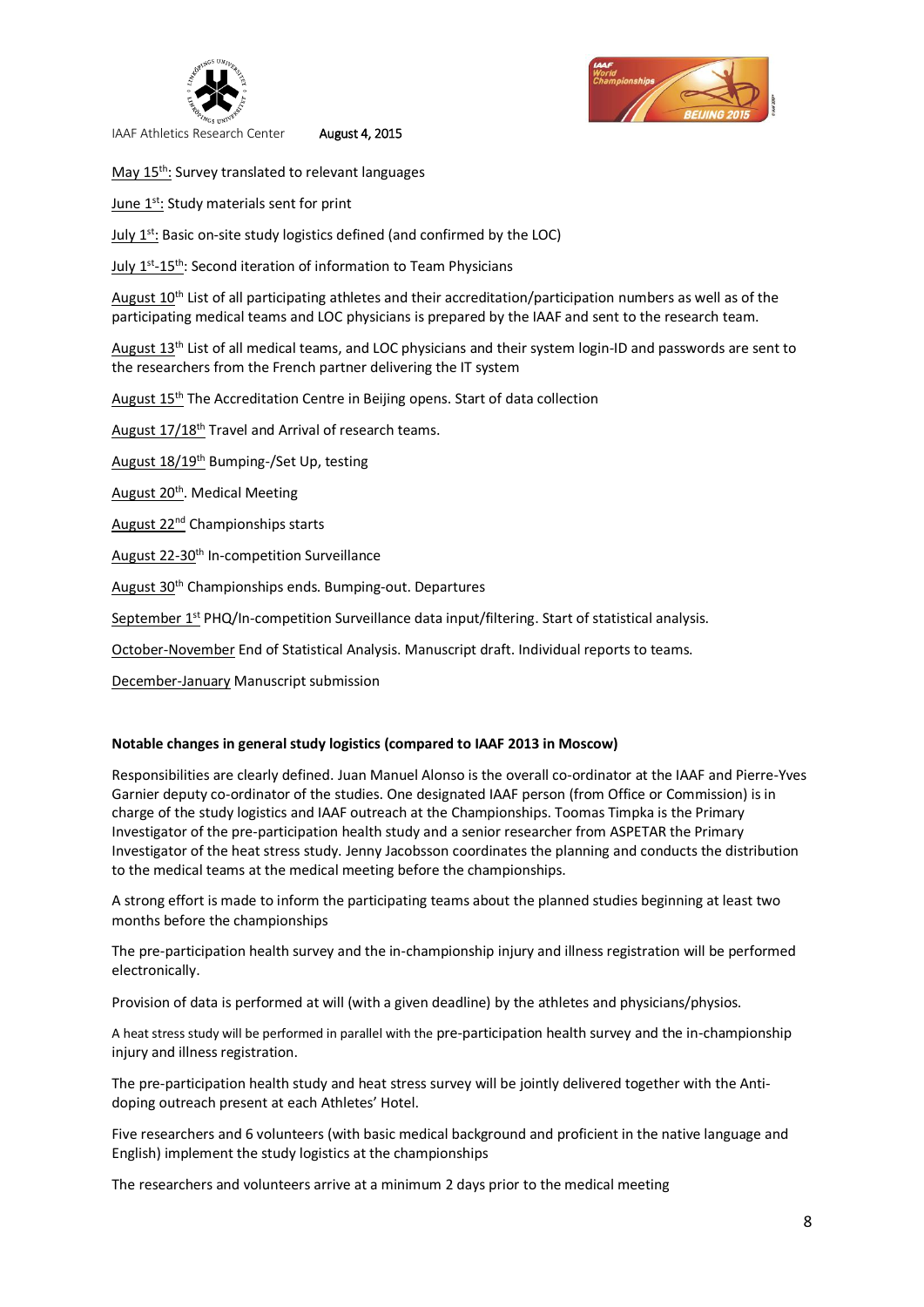

May 15<sup>th</sup>: Survey translated to relevant languages

June 1<sup>st</sup>: Study materials sent for print

July  $1<sup>st</sup>$ : Basic on-site study logistics defined (and confirmed by the LOC)

July 1<sup>st</sup>-15<sup>th</sup>: Second iteration of information to Team Physicians

August 10<sup>th</sup> List of all participating athletes and their accreditation/participation numbers as well as of the participating medical teams and LOC physicians is prepared by the IAAF and sent to the research team.

August 13<sup>th</sup> List of all medical teams, and LOC physicians and their system login-ID and passwords are sent to the researchers from the French partner delivering the IT system

August 15<sup>th</sup> The Accreditation Centre in Beijing opens. Start of data collection

August 17/18<sup>th</sup> Travel and Arrival of research teams.

August 18/19<sup>th</sup> Bumping-/Set Up, testing

August 20<sup>th</sup>. Medical Meeting

August 22nd Championships starts

August 22-30<sup>th</sup> In-competition Surveillance

August 30th Championships ends. Bumping-out. Departures

September 1<sup>st</sup> PHQ/In-competition Surveillance data input/filtering. Start of statistical analysis.

October-November End of Statistical Analysis. Manuscript draft. Individual reports to teams.

December-January Manuscript submission

## **Notable changes in general study logistics (compared to IAAF 2013 in Moscow)**

Responsibilities are clearly defined. Juan Manuel Alonso is the overall co-ordinator at the IAAF and Pierre-Yves Garnier deputy co-ordinator of the studies. One designated IAAF person (from Office or Commission) is in charge of the study logistics and IAAF outreach at the Championships. Toomas Timpka is the Primary Investigator of the pre-participation health study and a senior researcher from ASPETAR the Primary Investigator of the heat stress study. Jenny Jacobsson coordinates the planning and conducts the distribution to the medical teams at the medical meeting before the championships.

A strong effort is made to inform the participating teams about the planned studies beginning at least two months before the championships

The pre-participation health survey and the in-championship injury and illness registration will be performed electronically.

Provision of data is performed at will (with a given deadline) by the athletes and physicians/physios.

A heat stress study will be performed in parallel with the pre-participation health survey and the in-championship injury and illness registration.

The pre-participation health study and heat stress survey will be jointly delivered together with the Antidoping outreach present at each Athletes' Hotel.

Five researchers and 6 volunteers (with basic medical background and proficient in the native language and English) implement the study logistics at the championships

The researchers and volunteers arrive at a minimum 2 days prior to the medical meeting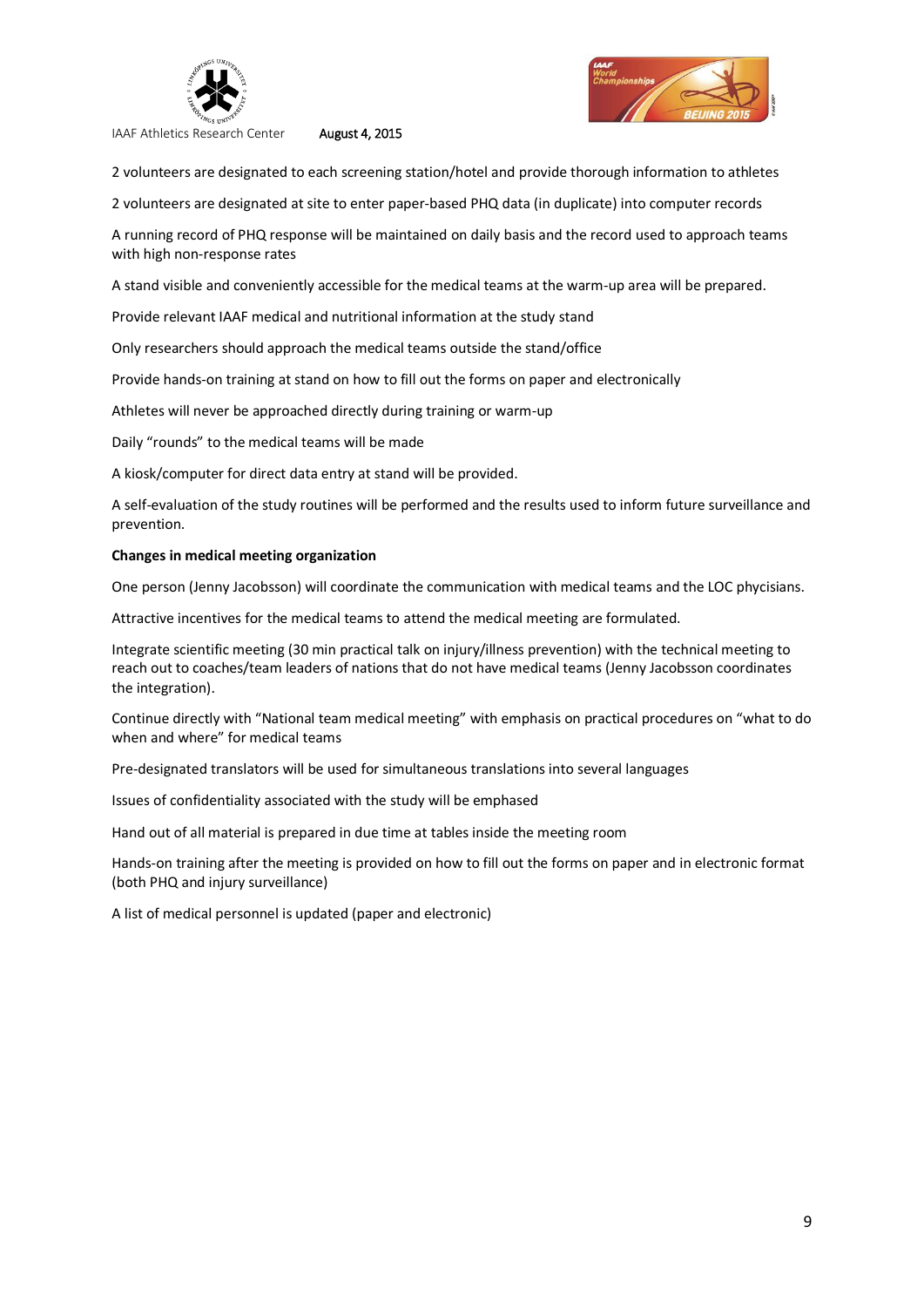

2 volunteers are designated to each screening station/hotel and provide thorough information to athletes

2 volunteers are designated at site to enter paper-based PHQ data (in duplicate) into computer records

A running record of PHQ response will be maintained on daily basis and the record used to approach teams with high non-response rates

A stand visible and conveniently accessible for the medical teams at the warm-up area will be prepared.

Provide relevant IAAF medical and nutritional information at the study stand

Only researchers should approach the medical teams outside the stand/office

Provide hands-on training at stand on how to fill out the forms on paper and electronically

Athletes will never be approached directly during training or warm-up

Daily "rounds" to the medical teams will be made

A kiosk/computer for direct data entry at stand will be provided.

A self-evaluation of the study routines will be performed and the results used to inform future surveillance and prevention.

### **Changes in medical meeting organization**

One person (Jenny Jacobsson) will coordinate the communication with medical teams and the LOC phycisians.

Attractive incentives for the medical teams to attend the medical meeting are formulated.

Integrate scientific meeting (30 min practical talk on injury/illness prevention) with the technical meeting to reach out to coaches/team leaders of nations that do not have medical teams (Jenny Jacobsson coordinates the integration).

Continue directly with "National team medical meeting" with emphasis on practical procedures on "what to do when and where" for medical teams

Pre-designated translators will be used for simultaneous translations into several languages

Issues of confidentiality associated with the study will be emphased

Hand out of all material is prepared in due time at tables inside the meeting room

Hands-on training after the meeting is provided on how to fill out the forms on paper and in electronic format (both PHQ and injury surveillance)

A list of medical personnel is updated (paper and electronic)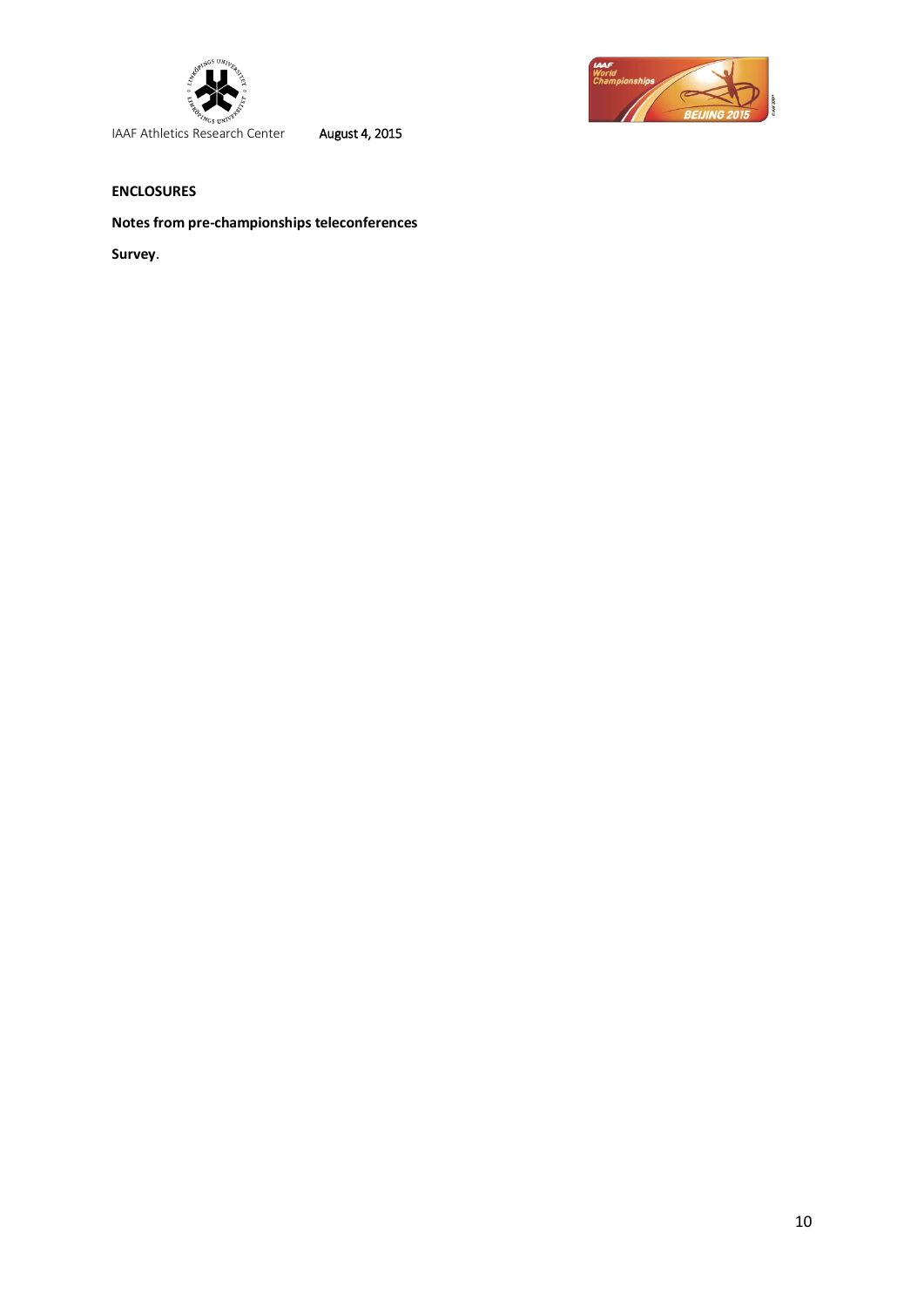



## **ENCLOSURES**

## **Notes from pre-championships teleconferences**

**Survey**.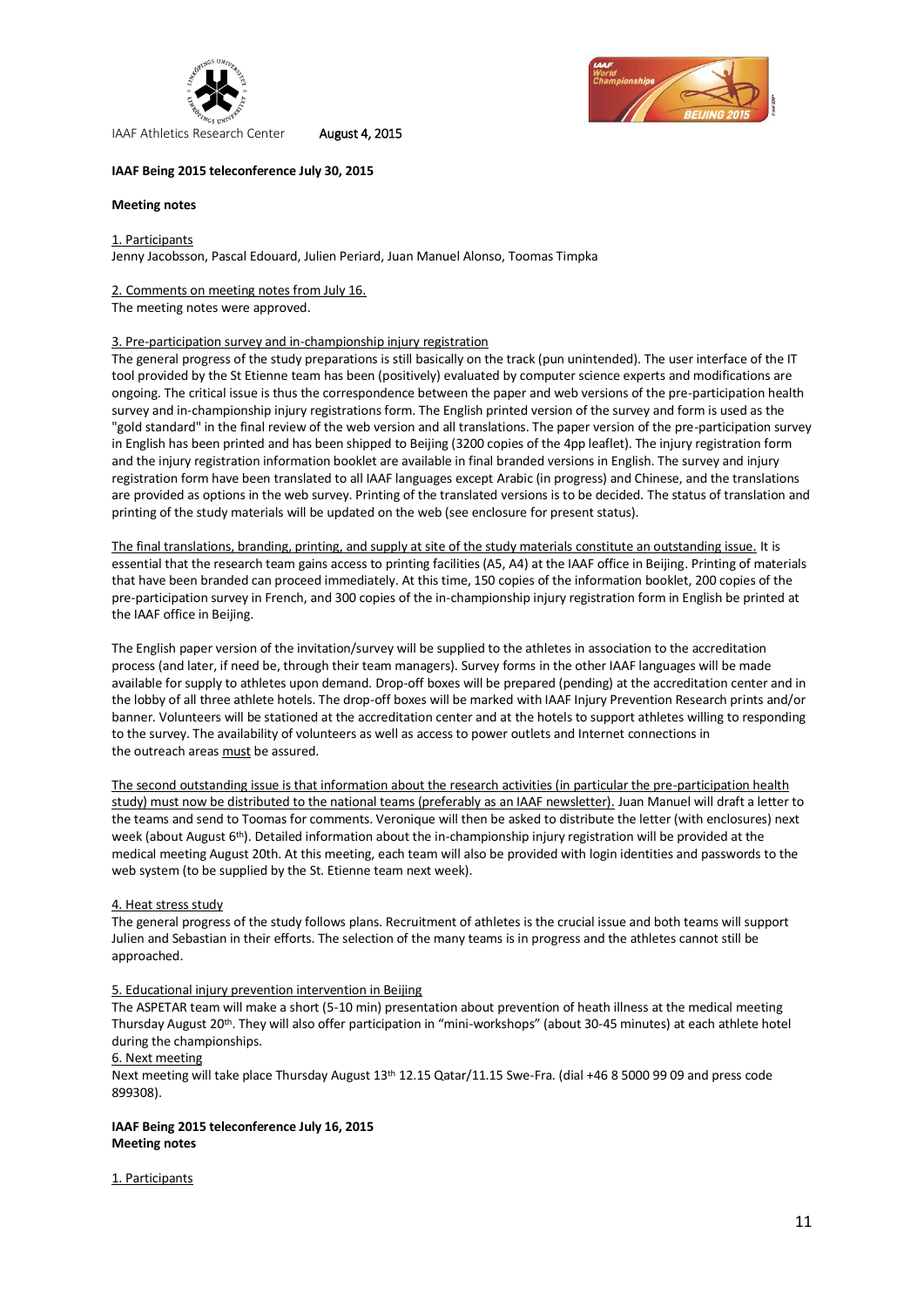



#### **IAAF Being 2015 teleconference July 30, 2015**

#### **Meeting notes**

1. Participants Jenny Jacobsson, Pascal Edouard, Julien Periard, Juan Manuel Alonso, Toomas Timpka

#### 2. Comments on meeting notes from July 16.

The meeting notes were approved.

#### 3. Pre-participation survey and in-championship injury registration

The general progress of the study preparations is still basically on the track (pun unintended). The user interface of the IT tool provided by the St Etienne team has been (positively) evaluated by computer science experts and modifications are ongoing. The critical issue is thus the correspondence between the paper and web versions of the pre-participation health survey and in-championship injury registrations form. The English printed version of the survey and form is used as the "gold standard" in the final review of the web version and all translations. The paper version of the pre-participation survey in English has been printed and has been shipped to Beijing (3200 copies of the 4pp leaflet). The injury registration form and the injury registration information booklet are available in final branded versions in English. The survey and injury registration form have been translated to all IAAF languages except Arabic (in progress) and Chinese, and the translations are provided as options in the web survey. Printing of the translated versions is to be decided. The status of translation and printing of the study materials will be updated on the web (see enclosure for present status).

The final translations, branding, printing, and supply at site of the study materials constitute an outstanding issue. It is essential that the research team gains access to printing facilities (A5, A4) at the IAAF office in Beijing. Printing of materials that have been branded can proceed immediately. At this time, 150 copies of the information booklet, 200 copies of the pre-participation survey in French, and 300 copies of the in-championship injury registration form in English be printed at the IAAF office in Beijing.

The English paper version of the invitation/survey will be supplied to the athletes in association to the accreditation process (and later, if need be, through their team managers). Survey forms in the other IAAF languages will be made available for supply to athletes upon demand. Drop-off boxes will be prepared (pending) at the accreditation center and in the lobby of all three athlete hotels. The drop-off boxes will be marked with IAAF Injury Prevention Research prints and/or banner. Volunteers will be stationed at the accreditation center and at the hotels to support athletes willing to responding to the survey. The availability of volunteers as well as access to power outlets and Internet connections in the outreach areas must be assured.

The second outstanding issue is that information about the research activities (in particular the pre-participation health study) must now be distributed to the national teams (preferably as an IAAF newsletter). Juan Manuel will draft a letter to the teams and send to Toomas for comments. Veronique will then be asked to distribute the letter (with enclosures) next week (about August  $6<sup>th</sup>$ ). Detailed information about the in-championship injury registration will be provided at the medical meeting August 20th. At this meeting, each team will also be provided with login identities and passwords to the web system (to be supplied by the St. Etienne team next week).

#### 4. Heat stress study

The general progress of the study follows plans. Recruitment of athletes is the crucial issue and both teams will support Julien and Sebastian in their efforts. The selection of the many teams is in progress and the athletes cannot still be approached.

#### 5. Educational injury prevention intervention in Beijing

The ASPETAR team will make a short (5-10 min) presentation about prevention of heath illness at the medical meeting Thursday August 20th. They will also offer participation in "mini-workshops" (about 30-45 minutes) at each athlete hotel during the championships.

#### 6. Next meeting

Next meeting will take place Thursday August 13th 12.15 Qatar/11.15 Swe-Fra. (dial +46 8 5000 99 09 and press code 899308).

### **IAAF Being 2015 teleconference July 16, 2015 Meeting notes**

#### 1. Participants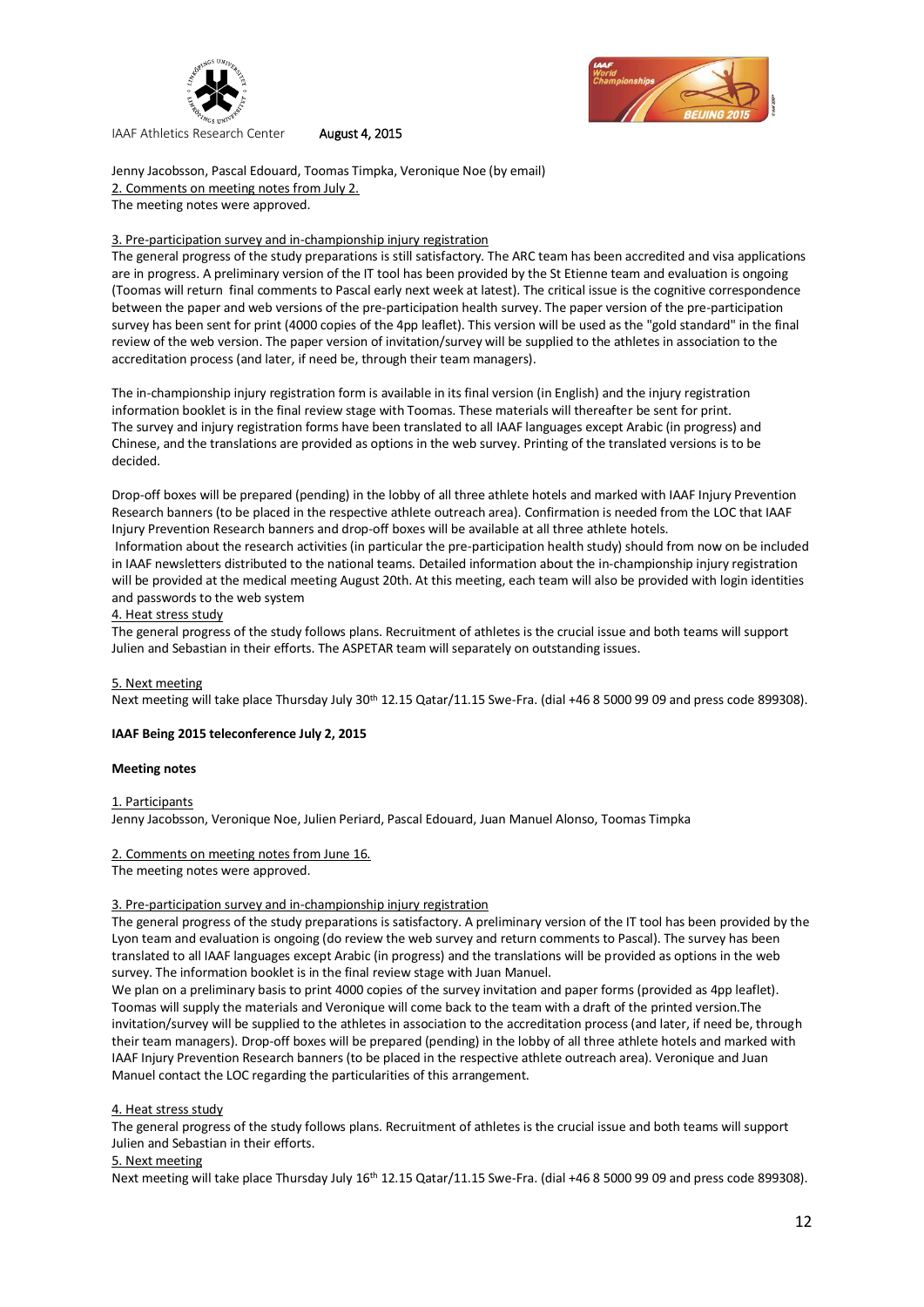



Jenny Jacobsson, Pascal Edouard, Toomas Timpka, Veronique Noe (by email) 2. Comments on meeting notes from July 2. The meeting notes were approved.

#### 3. Pre-participation survey and in-championship injury registration

The general progress of the study preparations is still satisfactory. The ARC team has been accredited and visa applications are in progress. A preliminary version of the IT tool has been provided by the St Etienne team and evaluation is ongoing (Toomas will return final comments to Pascal early next week at latest). The critical issue is the cognitive correspondence between the paper and web versions of the pre-participation health survey. The paper version of the pre-participation survey has been sent for print (4000 copies of the 4pp leaflet). This version will be used as the "gold standard" in the final review of the web version. The paper version of invitation/survey will be supplied to the athletes in association to the accreditation process (and later, if need be, through their team managers).

The in-championship injury registration form is available in its final version (in English) and the injury registration information booklet is in the final review stage with Toomas. These materials will thereafter be sent for print. The survey and injury registration forms have been translated to all IAAF languages except Arabic (in progress) and Chinese, and the translations are provided as options in the web survey. Printing of the translated versions is to be decided.

Drop-off boxes will be prepared (pending) in the lobby of all three athlete hotels and marked with IAAF Injury Prevention Research banners (to be placed in the respective athlete outreach area). Confirmation is needed from the LOC that IAAF Injury Prevention Research banners and drop-off boxes will be available at all three athlete hotels.

Information about the research activities (in particular the pre-participation health study) should from now on be included in IAAF newsletters distributed to the national teams. Detailed information about the in-championship injury registration will be provided at the medical meeting August 20th. At this meeting, each team will also be provided with login identities and passwords to the web system

#### 4. Heat stress study

The general progress of the study follows plans. Recruitment of athletes is the crucial issue and both teams will support Julien and Sebastian in their efforts. The ASPETAR team will separately on outstanding issues.

#### 5. Next meeting

Next meeting will take place Thursday July 30th 12.15 Qatar/11.15 Swe-Fra. (dial +46 8 5000 99 09 and press code 899308).

#### **IAAF Being 2015 teleconference July 2, 2015**

#### **Meeting notes**

1. Participants

Jenny Jacobsson, Veronique Noe, Julien Periard, Pascal Edouard, Juan Manuel Alonso, Toomas Timpka

#### 2. Comments on meeting notes from June 16.

The meeting notes were approved.

#### 3. Pre-participation survey and in-championship injury registration

The general progress of the study preparations is satisfactory. A preliminary version of the IT tool has been provided by the Lyon team and evaluation is ongoing (do review the web survey and return comments to Pascal). The survey has been translated to all IAAF languages except Arabic (in progress) and the translations will be provided as options in the web survey. The information booklet is in the final review stage with Juan Manuel.

We plan on a preliminary basis to print 4000 copies of the survey invitation and paper forms (provided as 4pp leaflet). Toomas will supply the materials and Veronique will come back to the team with a draft of the printed version.The invitation/survey will be supplied to the athletes in association to the accreditation process (and later, if need be, through their team managers). Drop-off boxes will be prepared (pending) in the lobby of all three athlete hotels and marked with IAAF Injury Prevention Research banners (to be placed in the respective athlete outreach area). Veronique and Juan Manuel contact the LOC regarding the particularities of this arrangement.

#### 4. Heat stress study

The general progress of the study follows plans. Recruitment of athletes is the crucial issue and both teams will support Julien and Sebastian in their efforts.

## 5. Next meeting

Next meeting will take place Thursday July 16<sup>th</sup> 12.15 Qatar/11.15 Swe-Fra. (dial +46 8 5000 99 09 and press code 899308).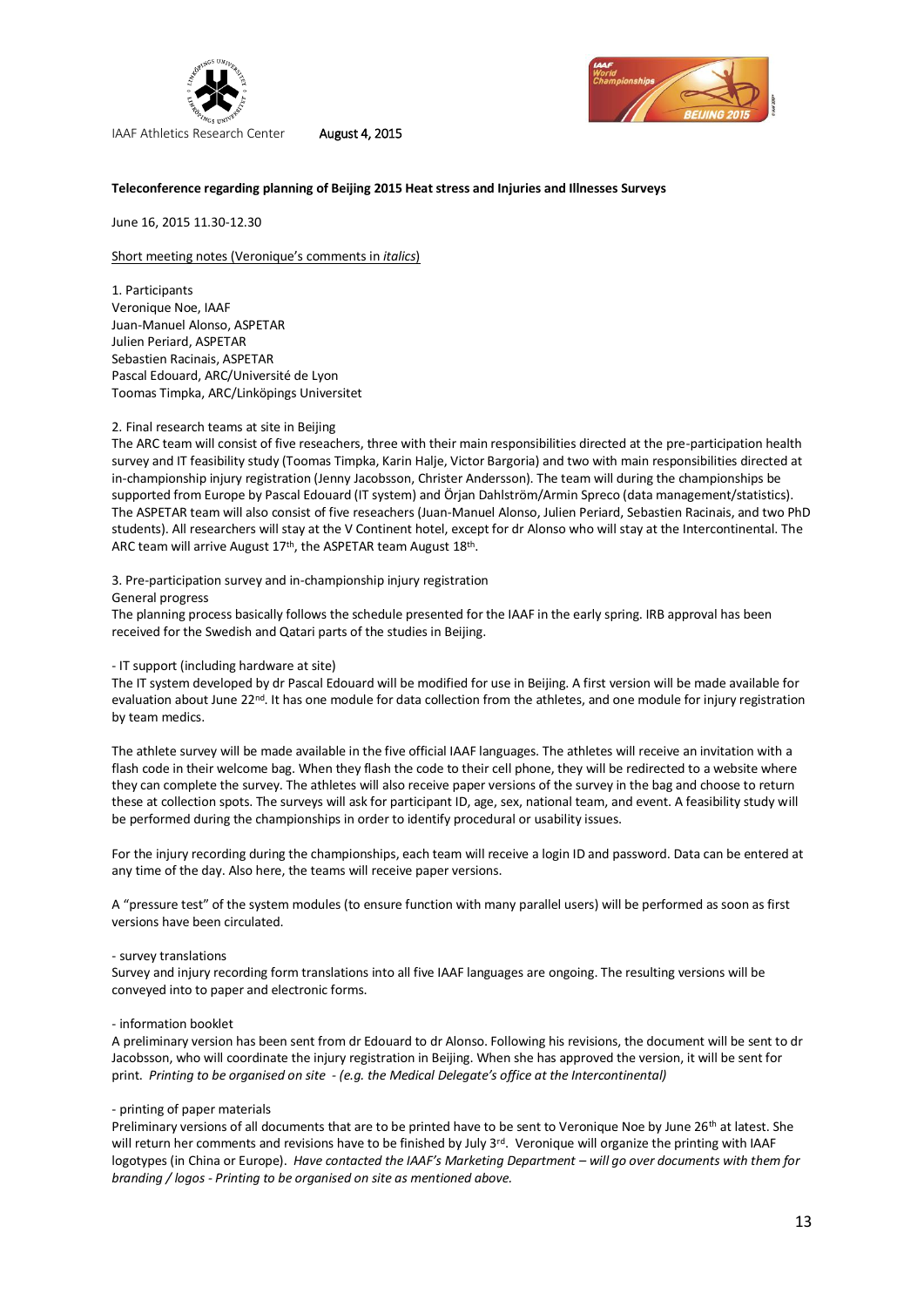



#### **Teleconference regarding planning of Beijing 2015 Heat stress and Injuries and Illnesses Surveys**

June 16, 2015 11.30-12.30

Short meeting notes (Veronique's comments in *italics*)

1. Participants Veronique Noe, IAAF Juan-Manuel Alonso, ASPETAR Julien Periard, ASPETAR Sebastien Racinais, ASPETAR Pascal Edouard, ARC/Université de Lyon Toomas Timpka, ARC/Linköpings Universitet

#### 2. Final research teams at site in Beijing

The ARC team will consist of five reseachers, three with their main responsibilities directed at the pre-participation health survey and IT feasibility study (Toomas Timpka, Karin Halje, Victor Bargoria) and two with main responsibilities directed at in-championship injury registration (Jenny Jacobsson, Christer Andersson). The team will during the championships be supported from Europe by Pascal Edouard (IT system) and Örjan Dahlström/Armin Spreco (data management/statistics). The ASPETAR team will also consist of five reseachers (Juan-Manuel Alonso, Julien Periard, Sebastien Racinais, and two PhD students). All researchers will stay at the V Continent hotel, except for dr Alonso who will stay at the Intercontinental. The ARC team will arrive August 17<sup>th</sup>, the ASPETAR team August 18<sup>th</sup>.

3. Pre-participation survey and in-championship injury registration

General progress

The planning process basically follows the schedule presented for the IAAF in the early spring. IRB approval has been received for the Swedish and Qatari parts of the studies in Beijing.

- IT support (including hardware at site)

The IT system developed by dr Pascal Edouard will be modified for use in Beijing. A first version will be made available for evaluation about June 22<sup>nd</sup>. It has one module for data collection from the athletes, and one module for injury registration by team medics.

The athlete survey will be made available in the five official IAAF languages. The athletes will receive an invitation with a flash code in their welcome bag. When they flash the code to their cell phone, they will be redirected to a website where they can complete the survey. The athletes will also receive paper versions of the survey in the bag and choose to return these at collection spots. The surveys will ask for participant ID, age, sex, national team, and event. A feasibility study will be performed during the championships in order to identify procedural or usability issues.

For the injury recording during the championships, each team will receive a login ID and password. Data can be entered at any time of the day. Also here, the teams will receive paper versions.

A "pressure test" of the system modules (to ensure function with many parallel users) will be performed as soon as first versions have been circulated.

#### - survey translations

Survey and injury recording form translations into all five IAAF languages are ongoing. The resulting versions will be conveyed into to paper and electronic forms.

#### - information booklet

A preliminary version has been sent from dr Edouard to dr Alonso. Following his revisions, the document will be sent to dr Jacobsson, who will coordinate the injury registration in Beijing. When she has approved the version, it will be sent for print. *Printing to be organised on site - (e.g. the Medical Delegate's office at the Intercontinental)*

#### - printing of paper materials

Preliminary versions of all documents that are to be printed have to be sent to Veronique Noe by June 26<sup>th</sup> at latest. She will return her comments and revisions have to be finished by July 3<sup>rd</sup>. Veronique will organize the printing with IAAF logotypes (in China or Europe). *Have contacted the IAAF's Marketing Department – will go over documents with them for branding / logos - Printing to be organised on site as mentioned above.*